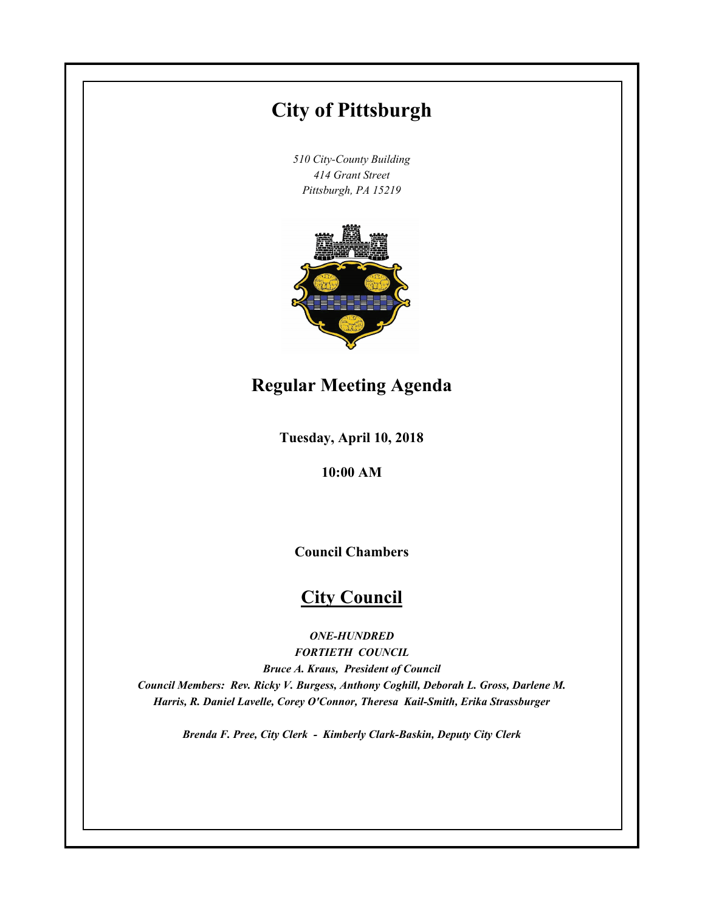# **City of Pittsburgh**

*510 City-County Building 414 Grant Street Pittsburgh, PA 15219*



# **Regular Meeting Agenda**

**Tuesday, April 10, 2018**

**10:00 AM**

**Council Chambers**

# **City Council**

*ONE-HUNDRED FORTIETH COUNCIL Bruce A. Kraus, President of Council Council Members: Rev. Ricky V. Burgess, Anthony Coghill, Deborah L. Gross, Darlene M. Harris, R. Daniel Lavelle, Corey O'Connor, Theresa Kail-Smith, Erika Strassburger*

*Brenda F. Pree, City Clerk - Kimberly Clark-Baskin, Deputy City Clerk*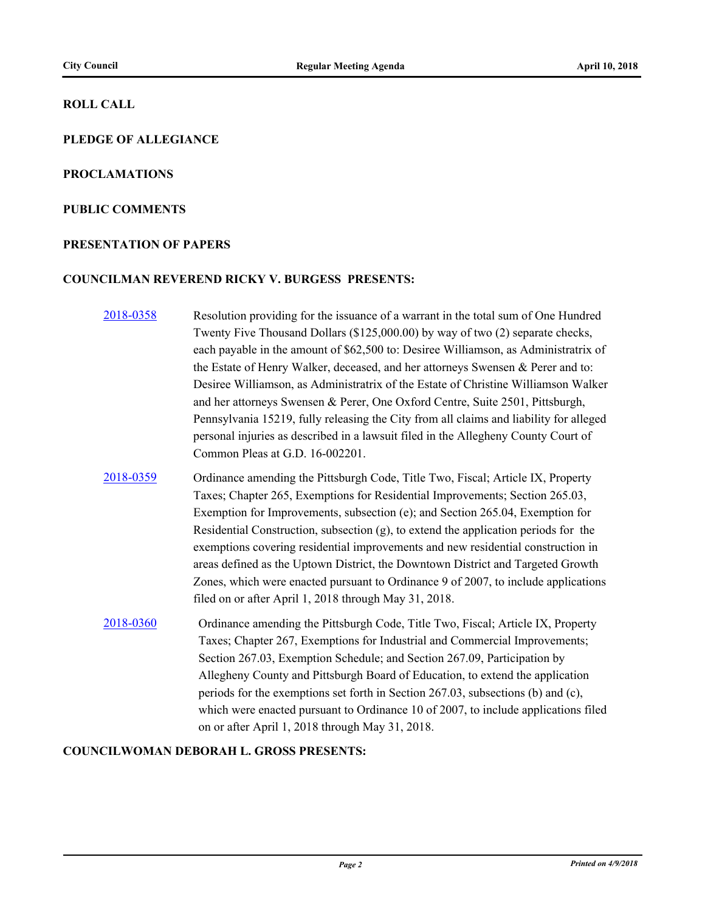### **ROLL CALL**

### **PLEDGE OF ALLEGIANCE**

**PROCLAMATIONS**

#### **PUBLIC COMMENTS**

#### **PRESENTATION OF PAPERS**

#### **COUNCILMAN REVEREND RICKY V. BURGESS PRESENTS:**

- [2018-0358](http://pittsburgh.legistar.com/gateway.aspx?m=l&id=/matter.aspx?key=22669) Resolution providing for the issuance of a warrant in the total sum of One Hundred Twenty Five Thousand Dollars (\$125,000.00) by way of two (2) separate checks, each payable in the amount of \$62,500 to: Desiree Williamson, as Administratrix of the Estate of Henry Walker, deceased, and her attorneys Swensen & Perer and to: Desiree Williamson, as Administratrix of the Estate of Christine Williamson Walker and her attorneys Swensen & Perer, One Oxford Centre, Suite 2501, Pittsburgh, Pennsylvania 15219, fully releasing the City from all claims and liability for alleged personal injuries as described in a lawsuit filed in the Allegheny County Court of Common Pleas at G.D. 16-002201.
- [2018-0359](http://pittsburgh.legistar.com/gateway.aspx?m=l&id=/matter.aspx?key=22670) Ordinance amending the Pittsburgh Code, Title Two, Fiscal; Article IX, Property Taxes; Chapter 265, Exemptions for Residential Improvements; Section 265.03, Exemption for Improvements, subsection (e); and Section 265.04, Exemption for Residential Construction, subsection (g), to extend the application periods for the exemptions covering residential improvements and new residential construction in areas defined as the Uptown District, the Downtown District and Targeted Growth Zones, which were enacted pursuant to Ordinance 9 of 2007, to include applications filed on or after April 1, 2018 through May 31, 2018.
- [2018-0360](http://pittsburgh.legistar.com/gateway.aspx?m=l&id=/matter.aspx?key=22671) Ordinance amending the Pittsburgh Code, Title Two, Fiscal; Article IX, Property Taxes; Chapter 267, Exemptions for Industrial and Commercial Improvements; Section 267.03, Exemption Schedule; and Section 267.09, Participation by Allegheny County and Pittsburgh Board of Education, to extend the application periods for the exemptions set forth in Section 267.03, subsections (b) and (c), which were enacted pursuant to Ordinance 10 of 2007, to include applications filed on or after April 1, 2018 through May 31, 2018.

### **COUNCILWOMAN DEBORAH L. GROSS PRESENTS:**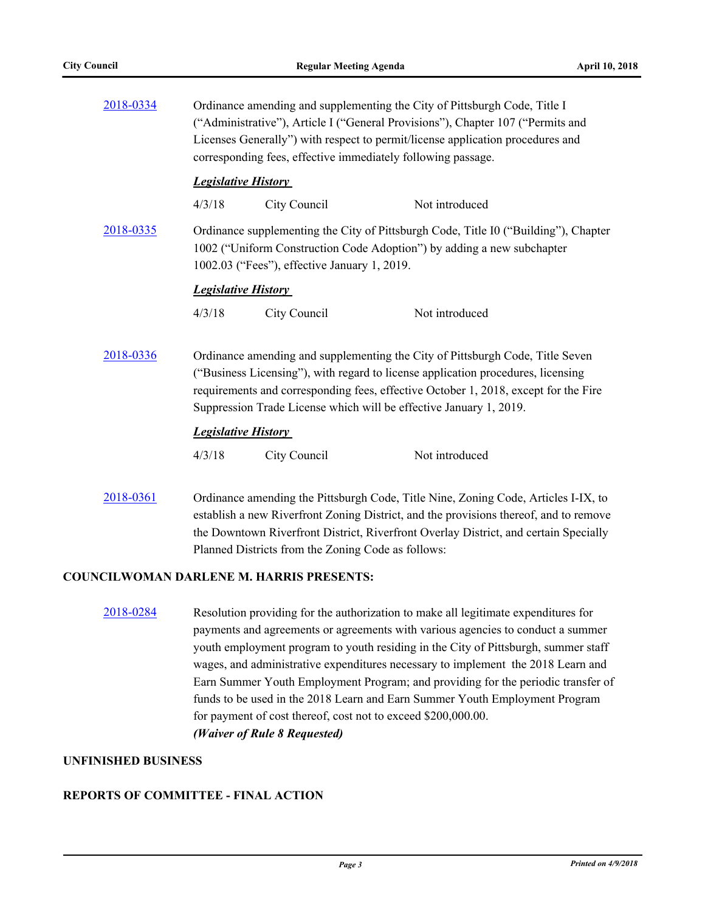| 2018-0334                                       |           | corresponding fees, effective immediately following passage.                                                                                                                                                                                                                                                                   | Ordinance amending and supplementing the City of Pittsburgh Code, Title I<br>("Administrative"), Article I ("General Provisions"), Chapter 107 ("Permits and<br>Licenses Generally") with respect to permit/license application procedures and |                |
|-------------------------------------------------|-----------|--------------------------------------------------------------------------------------------------------------------------------------------------------------------------------------------------------------------------------------------------------------------------------------------------------------------------------|------------------------------------------------------------------------------------------------------------------------------------------------------------------------------------------------------------------------------------------------|----------------|
|                                                 |           | <b>Legislative History</b>                                                                                                                                                                                                                                                                                                     |                                                                                                                                                                                                                                                |                |
|                                                 |           | 4/3/18                                                                                                                                                                                                                                                                                                                         | City Council                                                                                                                                                                                                                                   | Not introduced |
| 2018-0335                                       |           | Ordinance supplementing the City of Pittsburgh Code, Title I0 ("Building"), Chapter<br>1002 ("Uniform Construction Code Adoption") by adding a new subchapter<br>1002.03 ("Fees"), effective January 1, 2019.                                                                                                                  |                                                                                                                                                                                                                                                |                |
|                                                 |           | <b>Legislative History</b>                                                                                                                                                                                                                                                                                                     |                                                                                                                                                                                                                                                |                |
|                                                 |           | 4/3/18                                                                                                                                                                                                                                                                                                                         | City Council                                                                                                                                                                                                                                   | Not introduced |
|                                                 | 2018-0336 | Ordinance amending and supplementing the City of Pittsburgh Code, Title Seven<br>("Business Licensing"), with regard to license application procedures, licensing<br>requirements and corresponding fees, effective October 1, 2018, except for the Fire<br>Suppression Trade License which will be effective January 1, 2019. |                                                                                                                                                                                                                                                |                |
|                                                 |           | <b>Legislative History</b>                                                                                                                                                                                                                                                                                                     |                                                                                                                                                                                                                                                |                |
|                                                 |           | 4/3/18                                                                                                                                                                                                                                                                                                                         | City Council                                                                                                                                                                                                                                   | Not introduced |
|                                                 | 2018-0361 | Ordinance amending the Pittsburgh Code, Title Nine, Zoning Code, Articles I-IX, to<br>establish a new Riverfront Zoning District, and the provisions thereof, and to remove<br>the Downtown Riverfront District, Riverfront Overlay District, and certain Specially<br>Planned Districts from the Zoning Code as follows:      |                                                                                                                                                                                                                                                |                |
| <b>COUNCILWOMAN DARLENE M. HARRIS PRESENTS:</b> |           |                                                                                                                                                                                                                                                                                                                                |                                                                                                                                                                                                                                                |                |
|                                                 |           |                                                                                                                                                                                                                                                                                                                                |                                                                                                                                                                                                                                                |                |

[2018-0284](http://pittsburgh.legistar.com/gateway.aspx?m=l&id=/matter.aspx?key=22594) Resolution providing for the authorization to make all legitimate expenditures for payments and agreements or agreements with various agencies to conduct a summer youth employment program to youth residing in the City of Pittsburgh, summer staff wages, and administrative expenditures necessary to implement the 2018 Learn and Earn Summer Youth Employment Program; and providing for the periodic transfer of funds to be used in the 2018 Learn and Earn Summer Youth Employment Program for payment of cost thereof, cost not to exceed \$200,000.00. *(Waiver of Rule 8 Requested)*

### **UNFINISHED BUSINESS**

### **REPORTS OF COMMITTEE - FINAL ACTION**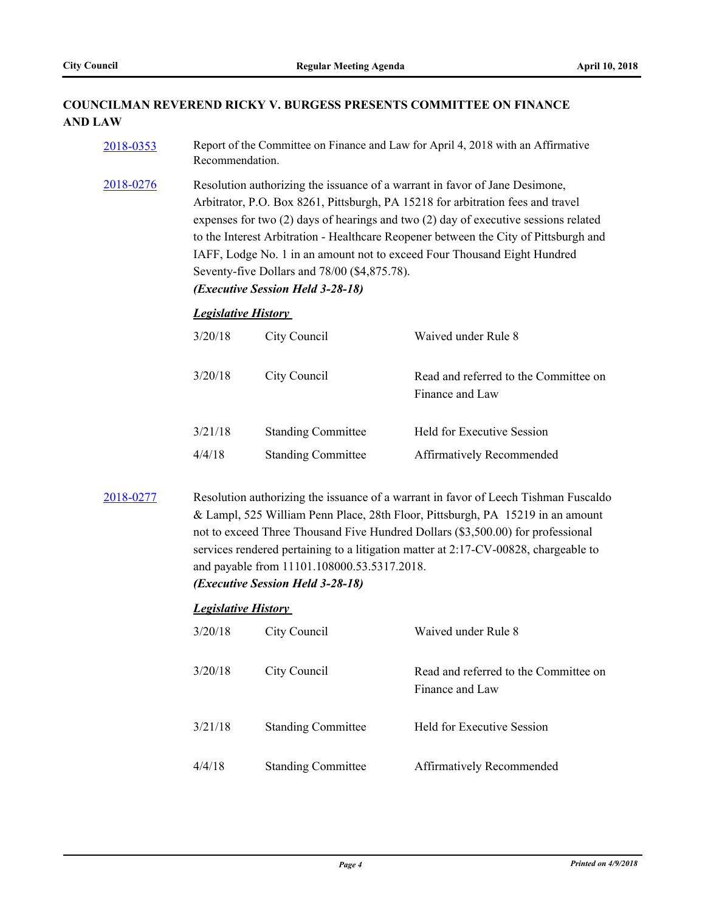# **COUNCILMAN REVEREND RICKY V. BURGESS PRESENTS COMMITTEE ON FINANCE AND LAW**

| 2018-0353                                                                                                                                                                                                                                                                                                                                                                                                                                                                     | Report of the Committee on Finance and Law for April 4, 2018 with an Affirmative<br>Recommendation.                                                                                                                                                                                                                                                                                                                                                                                                               |                           |                                                                                                                                                                                                                                                                                                                                    |  |
|-------------------------------------------------------------------------------------------------------------------------------------------------------------------------------------------------------------------------------------------------------------------------------------------------------------------------------------------------------------------------------------------------------------------------------------------------------------------------------|-------------------------------------------------------------------------------------------------------------------------------------------------------------------------------------------------------------------------------------------------------------------------------------------------------------------------------------------------------------------------------------------------------------------------------------------------------------------------------------------------------------------|---------------------------|------------------------------------------------------------------------------------------------------------------------------------------------------------------------------------------------------------------------------------------------------------------------------------------------------------------------------------|--|
| 2018-0276                                                                                                                                                                                                                                                                                                                                                                                                                                                                     | Resolution authorizing the issuance of a warrant in favor of Jane Desimone,<br>Arbitrator, P.O. Box 8261, Pittsburgh, PA 15218 for arbitration fees and travel<br>expenses for two $(2)$ days of hearings and two $(2)$ day of executive sessions related<br>to the Interest Arbitration - Healthcare Reopener between the City of Pittsburgh and<br>IAFF, Lodge No. 1 in an amount not to exceed Four Thousand Eight Hundred<br>Seventy-five Dollars and 78/00 (\$4,875.78).<br>(Executive Session Held 3-28-18) |                           |                                                                                                                                                                                                                                                                                                                                    |  |
|                                                                                                                                                                                                                                                                                                                                                                                                                                                                               | <b>Legislative History</b>                                                                                                                                                                                                                                                                                                                                                                                                                                                                                        |                           |                                                                                                                                                                                                                                                                                                                                    |  |
|                                                                                                                                                                                                                                                                                                                                                                                                                                                                               | 3/20/18                                                                                                                                                                                                                                                                                                                                                                                                                                                                                                           | City Council              | Waived under Rule 8                                                                                                                                                                                                                                                                                                                |  |
|                                                                                                                                                                                                                                                                                                                                                                                                                                                                               | 3/20/18                                                                                                                                                                                                                                                                                                                                                                                                                                                                                                           | City Council              | Read and referred to the Committee on<br>Finance and Law                                                                                                                                                                                                                                                                           |  |
|                                                                                                                                                                                                                                                                                                                                                                                                                                                                               | 3/21/18                                                                                                                                                                                                                                                                                                                                                                                                                                                                                                           | <b>Standing Committee</b> | Held for Executive Session                                                                                                                                                                                                                                                                                                         |  |
|                                                                                                                                                                                                                                                                                                                                                                                                                                                                               | 4/4/18                                                                                                                                                                                                                                                                                                                                                                                                                                                                                                            | <b>Standing Committee</b> | Affirmatively Recommended                                                                                                                                                                                                                                                                                                          |  |
| 2018-0277<br>Resolution authorizing the issuance of a warrant in favor of Leech Tishman Fuscaldo<br>& Lampl, 525 William Penn Place, 28th Floor, Pittsburgh, PA 15219 in an amount<br>not to exceed Three Thousand Five Hundred Dollars (\$3,500.00) for professional<br>services rendered pertaining to a litigation matter at 2:17-CV-00828, chargeable to<br>and payable from 11101.108000.53.5317.2018.<br>(Executive Session Held 3-28-18)<br><b>Legislative History</b> |                                                                                                                                                                                                                                                                                                                                                                                                                                                                                                                   |                           |                                                                                                                                                                                                                                                                                                                                    |  |
|                                                                                                                                                                                                                                                                                                                                                                                                                                                                               | $200/10$ $2^1$ $2^1$                                                                                                                                                                                                                                                                                                                                                                                                                                                                                              |                           | $\mathbf{W}$ $\mathbf{U}$ $\mathbf{U}$ $\mathbf{U}$ $\mathbf{U}$ $\mathbf{U}$ $\mathbf{U}$ $\mathbf{U}$ $\mathbf{U}$ $\mathbf{U}$ $\mathbf{U}$ $\mathbf{U}$ $\mathbf{U}$ $\mathbf{U}$ $\mathbf{U}$ $\mathbf{U}$ $\mathbf{U}$ $\mathbf{U}$ $\mathbf{U}$ $\mathbf{U}$ $\mathbf{U}$ $\mathbf{U}$ $\mathbf{U}$ $\mathbf{U}$ $\mathbf{$ |  |

| 3/20/18 | City Council              | Waived under Rule 8                                      |
|---------|---------------------------|----------------------------------------------------------|
| 3/20/18 | City Council              | Read and referred to the Committee on<br>Finance and Law |
| 3/21/18 | <b>Standing Committee</b> | Held for Executive Session                               |
| 4/4/18  | <b>Standing Committee</b> | Affirmatively Recommended                                |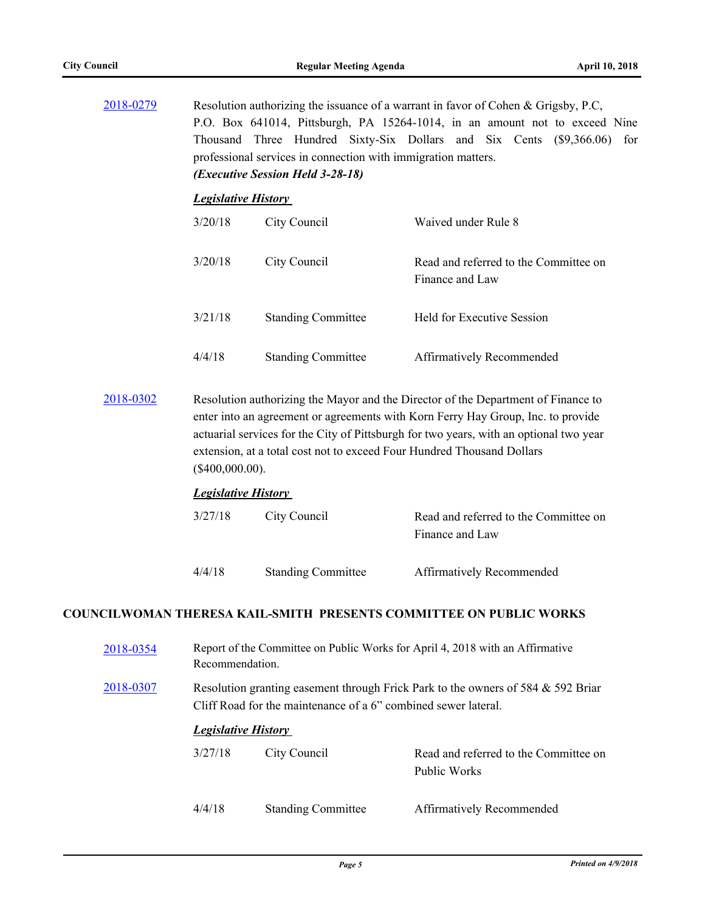| 2018-0279 | Resolution authorizing the issuance of a warrant in favor of Cohen & Grigsby, P.C,<br>P.O. Box 641014, Pittsburgh, PA 15264-1014, in an amount not to exceed Nine<br>Thousand Three Hundred Sixty-Six Dollars and Six Cents (\$9,366.06) for<br>professional services in connection with immigration matters.<br>(Executive Session Held 3-28-18)              |                                                                                                                                                    |                                                                           |  |
|-----------|----------------------------------------------------------------------------------------------------------------------------------------------------------------------------------------------------------------------------------------------------------------------------------------------------------------------------------------------------------------|----------------------------------------------------------------------------------------------------------------------------------------------------|---------------------------------------------------------------------------|--|
|           | <b>Legislative History</b>                                                                                                                                                                                                                                                                                                                                     |                                                                                                                                                    |                                                                           |  |
|           | 3/20/18                                                                                                                                                                                                                                                                                                                                                        | City Council                                                                                                                                       | Waived under Rule 8                                                       |  |
|           | 3/20/18                                                                                                                                                                                                                                                                                                                                                        | City Council                                                                                                                                       | Read and referred to the Committee on<br>Finance and Law                  |  |
|           | 3/21/18                                                                                                                                                                                                                                                                                                                                                        | <b>Standing Committee</b>                                                                                                                          | Held for Executive Session                                                |  |
|           | 4/4/18                                                                                                                                                                                                                                                                                                                                                         | <b>Standing Committee</b>                                                                                                                          | Affirmatively Recommended                                                 |  |
| 2018-0302 | Resolution authorizing the Mayor and the Director of the Department of Finance to<br>enter into an agreement or agreements with Korn Ferry Hay Group, Inc. to provide<br>actuarial services for the City of Pittsburgh for two years, with an optional two year<br>extension, at a total cost not to exceed Four Hundred Thousand Dollars<br>$(\$400,000.00).$ |                                                                                                                                                    |                                                                           |  |
|           | <b>Legislative History</b>                                                                                                                                                                                                                                                                                                                                     |                                                                                                                                                    |                                                                           |  |
|           | 3/27/18                                                                                                                                                                                                                                                                                                                                                        | City Council                                                                                                                                       | Read and referred to the Committee on<br>Finance and Law                  |  |
|           | 4/4/18                                                                                                                                                                                                                                                                                                                                                         | <b>Standing Committee</b>                                                                                                                          | Affirmatively Recommended                                                 |  |
|           |                                                                                                                                                                                                                                                                                                                                                                |                                                                                                                                                    | <b>COUNCILWOMAN THERESA KAIL-SMITH PRESENTS COMMITTEE ON PUBLIC WORKS</b> |  |
| 2018-0354 | Report of the Committee on Public Works for April 4, 2018 with an Affirmative<br>Recommendation.                                                                                                                                                                                                                                                               |                                                                                                                                                    |                                                                           |  |
| 2018-0307 |                                                                                                                                                                                                                                                                                                                                                                | Resolution granting easement through Frick Park to the owners of 584 & 592 Brian<br>Cliff Road for the maintenance of a 6" combined sewer lateral. |                                                                           |  |
|           | <b>Legislative History</b>                                                                                                                                                                                                                                                                                                                                     |                                                                                                                                                    |                                                                           |  |
|           | 3/27/18                                                                                                                                                                                                                                                                                                                                                        | City Council                                                                                                                                       | Read and referred to the Committee on<br>Public Works                     |  |
|           | 4/4/18                                                                                                                                                                                                                                                                                                                                                         | <b>Standing Committee</b>                                                                                                                          | Affirmatively Recommended                                                 |  |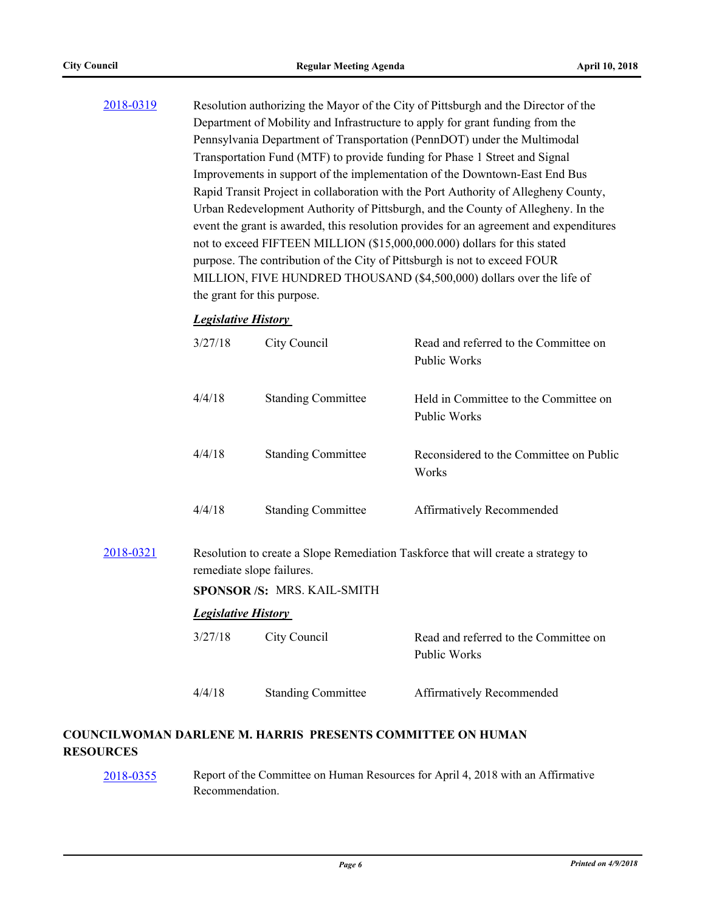# [2018-0319](http://pittsburgh.legistar.com/gateway.aspx?m=l&id=/matter.aspx?key=22630) Resolution authorizing the Mayor of the City of Pittsburgh and the Director of the Department of Mobility and Infrastructure to apply for grant funding from the Pennsylvania Department of Transportation (PennDOT) under the Multimodal Transportation Fund (MTF) to provide funding for Phase 1 Street and Signal Improvements in support of the implementation of the Downtown-East End Bus Rapid Transit Project in collaboration with the Port Authority of Allegheny County, Urban Redevelopment Authority of Pittsburgh, and the County of Allegheny. In the event the grant is awarded, this resolution provides for an agreement and expenditures not to exceed FIFTEEN MILLION (\$15,000,000.000) dollars for this stated purpose. The contribution of the City of Pittsburgh is not to exceed FOUR MILLION, FIVE HUNDRED THOUSAND (\$4,500,000) dollars over the life of the grant for this purpose.

### *Legislative History*

|                                                                       | 3/27/18                    | City Council              | Read and referred to the Committee on<br>Public Works                             |
|-----------------------------------------------------------------------|----------------------------|---------------------------|-----------------------------------------------------------------------------------|
|                                                                       | 4/4/18                     | <b>Standing Committee</b> | Held in Committee to the Committee on<br>Public Works                             |
|                                                                       | 4/4/18                     | <b>Standing Committee</b> | Reconsidered to the Committee on Public<br>Works                                  |
|                                                                       | 4/4/18                     | <b>Standing Committee</b> | Affirmatively Recommended                                                         |
| 2018-0321<br>remediate slope failures.<br>SPONSOR /S: MRS. KAIL-SMITH |                            |                           | Resolution to create a Slope Remediation Taskforce that will create a strategy to |
|                                                                       | <b>Legislative History</b> |                           |                                                                                   |
|                                                                       | 3/27/18                    | City Council              | Read and referred to the Committee on<br>Public Works                             |
|                                                                       | 4/4/18                     | <b>Standing Committee</b> | Affirmatively Recommended                                                         |

## **COUNCILWOMAN DARLENE M. HARRIS PRESENTS COMMITTEE ON HUMAN RESOURCES**

[2018-0355](http://pittsburgh.legistar.com/gateway.aspx?m=l&id=/matter.aspx?key=22666) Report of the Committee on Human Resources for April 4, 2018 with an Affirmative Recommendation.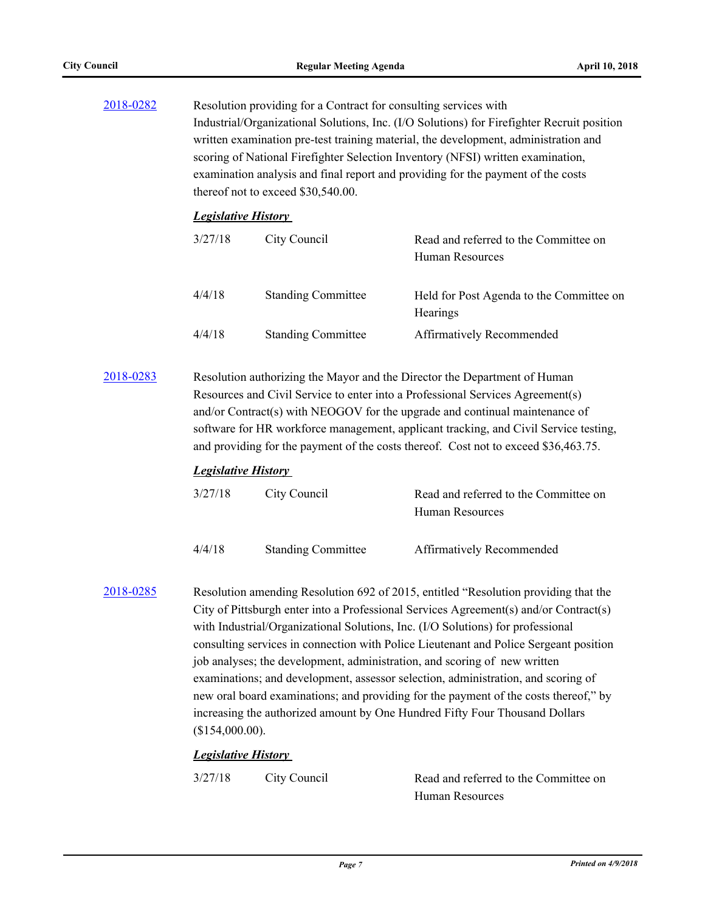| 2018-0282 | Resolution providing for a Contract for consulting services with<br>Industrial/Organizational Solutions, Inc. (I/O Solutions) for Firefighter Recruit position<br>written examination pre-test training material, the development, administration and<br>scoring of National Firefighter Selection Inventory (NFSI) written examination,<br>examination analysis and final report and providing for the payment of the costs<br>thereof not to exceed \$30,540.00.                                                                                                                                                                                                                                                   |                           |                                                                 |  |
|-----------|----------------------------------------------------------------------------------------------------------------------------------------------------------------------------------------------------------------------------------------------------------------------------------------------------------------------------------------------------------------------------------------------------------------------------------------------------------------------------------------------------------------------------------------------------------------------------------------------------------------------------------------------------------------------------------------------------------------------|---------------------------|-----------------------------------------------------------------|--|
|           | <b>Legislative History</b>                                                                                                                                                                                                                                                                                                                                                                                                                                                                                                                                                                                                                                                                                           |                           |                                                                 |  |
|           | 3/27/18                                                                                                                                                                                                                                                                                                                                                                                                                                                                                                                                                                                                                                                                                                              | City Council              | Read and referred to the Committee on<br>Human Resources        |  |
|           | 4/4/18                                                                                                                                                                                                                                                                                                                                                                                                                                                                                                                                                                                                                                                                                                               | <b>Standing Committee</b> | Held for Post Agenda to the Committee on<br>Hearings            |  |
|           | 4/4/18                                                                                                                                                                                                                                                                                                                                                                                                                                                                                                                                                                                                                                                                                                               | <b>Standing Committee</b> | Affirmatively Recommended                                       |  |
| 2018-0283 | Resolution authorizing the Mayor and the Director the Department of Human<br>Resources and Civil Service to enter into a Professional Services Agreement(s)<br>and/or Contract(s) with NEOGOV for the upgrade and continual maintenance of<br>software for HR workforce management, applicant tracking, and Civil Service testing,<br>and providing for the payment of the costs thereof. Cost not to exceed \$36,463.75.                                                                                                                                                                                                                                                                                            |                           |                                                                 |  |
|           | <b>Legislative History</b>                                                                                                                                                                                                                                                                                                                                                                                                                                                                                                                                                                                                                                                                                           |                           |                                                                 |  |
|           | 3/27/18                                                                                                                                                                                                                                                                                                                                                                                                                                                                                                                                                                                                                                                                                                              | City Council              | Read and referred to the Committee on<br><b>Human Resources</b> |  |
|           | 4/4/18                                                                                                                                                                                                                                                                                                                                                                                                                                                                                                                                                                                                                                                                                                               | <b>Standing Committee</b> | Affirmatively Recommended                                       |  |
| 2018-0285 | Resolution amending Resolution 692 of 2015, entitled "Resolution providing that the<br>City of Pittsburgh enter into a Professional Services Agreement(s) and/or Contract(s)<br>with Industrial/Organizational Solutions, Inc. (I/O Solutions) for professional<br>consulting services in connection with Police Lieutenant and Police Sergeant position<br>job analyses; the development, administration, and scoring of new written<br>examinations; and development, assessor selection, administration, and scoring of<br>new oral board examinations; and providing for the payment of the costs thereof," by<br>increasing the authorized amount by One Hundred Fifty Four Thousand Dollars<br>(\$154,000.00). |                           |                                                                 |  |
|           | <b>Legislative History</b>                                                                                                                                                                                                                                                                                                                                                                                                                                                                                                                                                                                                                                                                                           |                           |                                                                 |  |
|           | 3/27/18                                                                                                                                                                                                                                                                                                                                                                                                                                                                                                                                                                                                                                                                                                              | City Council              | Read and referred to the Committee on                           |  |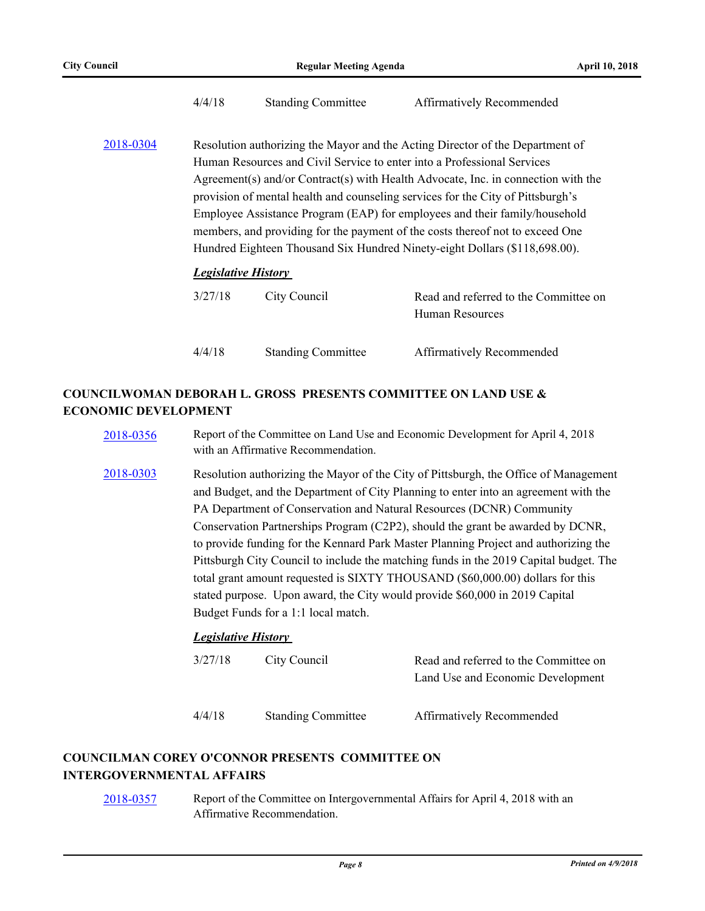|           | 4/4/18                                                                                                                                                                                                                                                                                                                                                                                                                                                                                                                                                                        | <b>Standing Committee</b> | Affirmatively Recommended                                       |  |
|-----------|-------------------------------------------------------------------------------------------------------------------------------------------------------------------------------------------------------------------------------------------------------------------------------------------------------------------------------------------------------------------------------------------------------------------------------------------------------------------------------------------------------------------------------------------------------------------------------|---------------------------|-----------------------------------------------------------------|--|
| 2018-0304 | Resolution authorizing the Mayor and the Acting Director of the Department of<br>Human Resources and Civil Service to enter into a Professional Services<br>Agreement(s) and/or Contract(s) with Health Advocate, Inc. in connection with the<br>provision of mental health and counseling services for the City of Pittsburgh's<br>Employee Assistance Program (EAP) for employees and their family/household<br>members, and providing for the payment of the costs thereof not to exceed One<br>Hundred Eighteen Thousand Six Hundred Ninety-eight Dollars (\$118,698.00). |                           |                                                                 |  |
|           | <b>Legislative History</b>                                                                                                                                                                                                                                                                                                                                                                                                                                                                                                                                                    |                           |                                                                 |  |
|           | 3/27/18                                                                                                                                                                                                                                                                                                                                                                                                                                                                                                                                                                       | City Council              | Read and referred to the Committee on<br><b>Human Resources</b> |  |
|           | 4/4/18                                                                                                                                                                                                                                                                                                                                                                                                                                                                                                                                                                        | <b>Standing Committee</b> | Affirmatively Recommended                                       |  |

## **COUNCILWOMAN DEBORAH L. GROSS PRESENTS COMMITTEE ON LAND USE & ECONOMIC DEVELOPMENT**

| 2018-0356 | Report of the Committee on Land Use and Economic Development for April 4, 2018 |
|-----------|--------------------------------------------------------------------------------|
|           | with an Affirmative Recommendation.                                            |

[2018-0303](http://pittsburgh.legistar.com/gateway.aspx?m=l&id=/matter.aspx?key=22614) Resolution authorizing the Mayor of the City of Pittsburgh, the Office of Management and Budget, and the Department of City Planning to enter into an agreement with the PA Department of Conservation and Natural Resources (DCNR) Community Conservation Partnerships Program (C2P2), should the grant be awarded by DCNR, to provide funding for the Kennard Park Master Planning Project and authorizing the Pittsburgh City Council to include the matching funds in the 2019 Capital budget. The total grant amount requested is SIXTY THOUSAND (\$60,000.00) dollars for this stated purpose. Upon award, the City would provide \$60,000 in 2019 Capital Budget Funds for a 1:1 local match.

### *Legislative History*

| 3/27/18 | City Council              | Read and referred to the Committee on<br>Land Use and Economic Development |
|---------|---------------------------|----------------------------------------------------------------------------|
| 4/4/18  | <b>Standing Committee</b> | Affirmatively Recommended                                                  |

### **COUNCILMAN COREY O'CONNOR PRESENTS COMMITTEE ON INTERGOVERNMENTAL AFFAIRS**

[2018-0357](http://pittsburgh.legistar.com/gateway.aspx?m=l&id=/matter.aspx?key=22668) Report of the Committee on Intergovernmental Affairs for April 4, 2018 with an Affirmative Recommendation.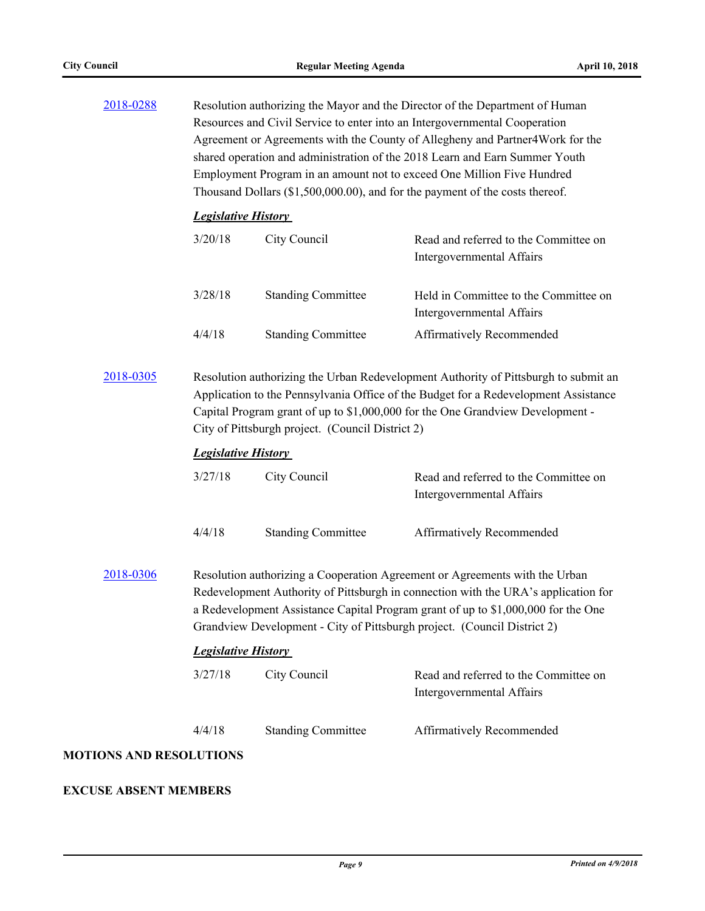| 2018-0288                      | Resolution authorizing the Mayor and the Director of the Department of Human<br>Resources and Civil Service to enter into an Intergovernmental Cooperation<br>Agreement or Agreements with the County of Allegheny and Partner4Work for the<br>shared operation and administration of the 2018 Learn and Earn Summer Youth<br>Employment Program in an amount not to exceed One Million Five Hundred<br>Thousand Dollars (\$1,500,000.00), and for the payment of the costs thereof. |                           |                                                                    |  |
|--------------------------------|--------------------------------------------------------------------------------------------------------------------------------------------------------------------------------------------------------------------------------------------------------------------------------------------------------------------------------------------------------------------------------------------------------------------------------------------------------------------------------------|---------------------------|--------------------------------------------------------------------|--|
|                                | <b>Legislative History</b>                                                                                                                                                                                                                                                                                                                                                                                                                                                           |                           |                                                                    |  |
|                                | 3/20/18                                                                                                                                                                                                                                                                                                                                                                                                                                                                              | City Council              | Read and referred to the Committee on<br>Intergovernmental Affairs |  |
|                                | 3/28/18                                                                                                                                                                                                                                                                                                                                                                                                                                                                              | <b>Standing Committee</b> | Held in Committee to the Committee on<br>Intergovernmental Affairs |  |
|                                | 4/4/18                                                                                                                                                                                                                                                                                                                                                                                                                                                                               | <b>Standing Committee</b> | Affirmatively Recommended                                          |  |
| 2018-0305                      | Resolution authorizing the Urban Redevelopment Authority of Pittsburgh to submit an<br>Application to the Pennsylvania Office of the Budget for a Redevelopment Assistance<br>Capital Program grant of up to \$1,000,000 for the One Grandview Development -<br>City of Pittsburgh project. (Council District 2)                                                                                                                                                                     |                           |                                                                    |  |
|                                | <b>Legislative History</b>                                                                                                                                                                                                                                                                                                                                                                                                                                                           |                           |                                                                    |  |
|                                | 3/27/18                                                                                                                                                                                                                                                                                                                                                                                                                                                                              | City Council              | Read and referred to the Committee on<br>Intergovernmental Affairs |  |
|                                | 4/4/18                                                                                                                                                                                                                                                                                                                                                                                                                                                                               | <b>Standing Committee</b> | Affirmatively Recommended                                          |  |
| 2018-0306                      | Resolution authorizing a Cooperation Agreement or Agreements with the Urban<br>Redevelopment Authority of Pittsburgh in connection with the URA's application for<br>a Redevelopment Assistance Capital Program grant of up to \$1,000,000 for the One<br>Grandview Development - City of Pittsburgh project. (Council District 2)                                                                                                                                                   |                           |                                                                    |  |
|                                | <b>Legislative History</b>                                                                                                                                                                                                                                                                                                                                                                                                                                                           |                           |                                                                    |  |
|                                | 3/27/18                                                                                                                                                                                                                                                                                                                                                                                                                                                                              | City Council              | Read and referred to the Committee on<br>Intergovernmental Affairs |  |
|                                | 4/4/18                                                                                                                                                                                                                                                                                                                                                                                                                                                                               | <b>Standing Committee</b> | Affirmatively Recommended                                          |  |
| <b>MOTIONS AND RESOLUTIONS</b> |                                                                                                                                                                                                                                                                                                                                                                                                                                                                                      |                           |                                                                    |  |

# **EXCUSE ABSENT MEMBERS**